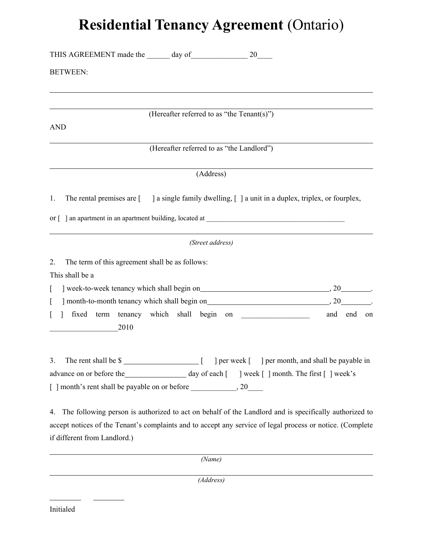## **Residential Tenancy Agreement** (Ontario)

| <b>BETWEEN:</b>                                                                                          |                                            |            |
|----------------------------------------------------------------------------------------------------------|--------------------------------------------|------------|
|                                                                                                          | (Hereafter referred to as "the Tenant(s)") |            |
| <b>AND</b>                                                                                               |                                            |            |
|                                                                                                          | (Hereafter referred to as "the Landlord")  |            |
|                                                                                                          | (Address)                                  |            |
| The rental premises are [ ] a single family dwelling, [] a unit in a duplex, triplex, or fourplex,<br>1. |                                            |            |
|                                                                                                          |                                            |            |
|                                                                                                          | (Street address)                           |            |
| The term of this agreement shall be as follows:<br>2.                                                    |                                            |            |
| This shall be a                                                                                          |                                            |            |
| L                                                                                                        |                                            |            |
| ſ                                                                                                        |                                            |            |
| 1 fixed term tenancy which shall begin on<br>L<br>2010                                                   |                                            | and end on |
| The rent shall be \$<br>3.                                                                               |                                            |            |
|                                                                                                          |                                            |            |
|                                                                                                          |                                            |            |
| 4. The following person is authorized to act on behalf of the Landlord and is specifically authorized to |                                            |            |
| $\mathcal{L}(1)$ Transition is the set of the set of the set of $\mathcal{L}(1)$ in $\mathcal{L}(1)$     |                                            | (0.000)    |

accept notices of the Tenant's complaints and to accept any service of legal process or notice. (Complete if different from Landlord.)

*(Name)* 

*(Address)* 

l

l

l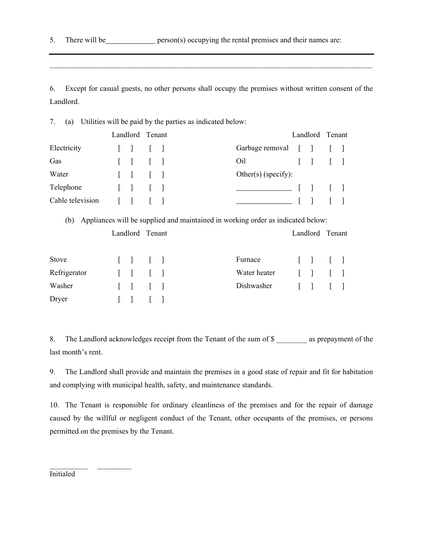5. There will be person(s) occupying the rental premises and their names are:

6. Except for casual guests, no other persons shall occupy the premises without written consent of the Landlord.

7. (a) Utilities will be paid by the parties as indicated below:

|                  |                                                | Landlord Tenant |  |                                                        |  |              | Landlord Tenant |        |
|------------------|------------------------------------------------|-----------------|--|--------------------------------------------------------|--|--------------|-----------------|--------|
| Electricity      | $\begin{bmatrix} 1 & 1 \end{bmatrix}$          |                 |  | Garbage removal $\begin{bmatrix} 1 \\ 1 \end{bmatrix}$ |  |              |                 |        |
| Gas              | $\begin{bmatrix} 1 & 1 \\ 1 & 1 \end{bmatrix}$ |                 |  | Oil                                                    |  |              |                 |        |
| Water            |                                                |                 |  | Other(s) (specify):                                    |  |              |                 |        |
| Telephone        | $\begin{bmatrix} 1 & 1 \end{bmatrix}$          |                 |  |                                                        |  | __ [ ] _ [ ] |                 |        |
| Cable television | $\begin{bmatrix} 1 & 1 \end{bmatrix}$          |                 |  |                                                        |  | $\mathbf{1}$ |                 | $\Box$ |

(b) Appliances will be supplied and maintained in working order as indicated below:

| Landlord Tenant |                                                |  |              |  |                                                                                                                                                                                                                                                | Landlord Tenant |  |
|-----------------|------------------------------------------------|--|--------------|--|------------------------------------------------------------------------------------------------------------------------------------------------------------------------------------------------------------------------------------------------|-----------------|--|
| Stove           | $\begin{bmatrix} 1 & 1 \\ 1 & 1 \end{bmatrix}$ |  | Furnace      |  | $\begin{array}{cccc} \begin{array}{cccc} \hline \end{array} & \begin{array}{cccc} \hline \end{array} & \begin{array}{cccc} \hline \end{array} & \begin{array}{cccc} \hline \end{array} & \begin{array}{cccc} \hline \end{array} & \end{array}$ |                 |  |
| Refrigerator    | $\begin{bmatrix} 1 & 1 \\ 1 & 1 \end{bmatrix}$ |  | Water heater |  | $\begin{array}{ccc} \begin{array}{ccc} \end{array} & \begin{array}{ccc} \end{array} & \begin{array}{ccc} \end{array} & \begin{array}{ccc} \end{array} & \begin{array}{ccc} \end{array}$                                                        |                 |  |
| Washer          | $\begin{bmatrix} 1 & 1 \\ 1 & 1 \end{bmatrix}$ |  | Dishwasher   |  | $\begin{array}{ccc} \begin{array}{ccc} \end{array} & \begin{array}{ccc} \end{array} & \begin{array}{ccc} \end{array} & \begin{array}{ccc} \end{array} & \begin{array}{ccc} \end{array}$                                                        |                 |  |
| Dryer           | 11111                                          |  |              |  |                                                                                                                                                                                                                                                |                 |  |

8. The Landlord acknowledges receipt from the Tenant of the sum of \$ as prepayment of the last month's rent.

9. The Landlord shall provide and maintain the premises in a good state of repair and fit for habitation and complying with municipal health, safety, and maintenance standards.

10. The Tenant is responsible for ordinary cleanliness of the premises and for the repair of damage caused by the willful or negligent conduct of the Tenant, other occupants of the premises, or persons permitted on the premises by the Tenant.

Initialed

 $\mathcal{L}_\text{max}$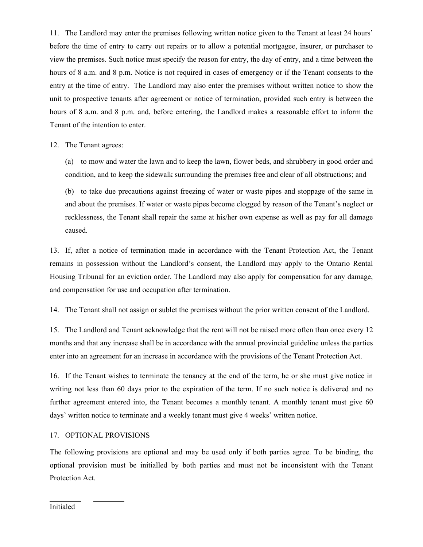11. The Landlord may enter the premises following written notice given to the Tenant at least 24 hours' before the time of entry to carry out repairs or to allow a potential mortgagee, insurer, or purchaser to view the premises. Such notice must specify the reason for entry, the day of entry, and a time between the hours of 8 a.m. and 8 p.m. Notice is not required in cases of emergency or if the Tenant consents to the entry at the time of entry. The Landlord may also enter the premises without written notice to show the unit to prospective tenants after agreement or notice of termination, provided such entry is between the hours of 8 a.m. and 8 p.m. and, before entering, the Landlord makes a reasonable effort to inform the Tenant of the intention to enter.

12. The Tenant agrees:

(a) to mow and water the lawn and to keep the lawn, flower beds, and shrubbery in good order and condition, and to keep the sidewalk surrounding the premises free and clear of all obstructions; and

(b) to take due precautions against freezing of water or waste pipes and stoppage of the same in and about the premises. If water or waste pipes become clogged by reason of the Tenant's neglect or recklessness, the Tenant shall repair the same at his/her own expense as well as pay for all damage caused.

13. If, after a notice of termination made in accordance with the Tenant Protection Act, the Tenant remains in possession without the Landlord's consent, the Landlord may apply to the Ontario Rental Housing Tribunal for an eviction order. The Landlord may also apply for compensation for any damage, and compensation for use and occupation after termination.

14. The Tenant shall not assign or sublet the premises without the prior written consent of the Landlord.

15. The Landlord and Tenant acknowledge that the rent will not be raised more often than once every 12 months and that any increase shall be in accordance with the annual provincial guideline unless the parties enter into an agreement for an increase in accordance with the provisions of the Tenant Protection Act.

16. If the Tenant wishes to terminate the tenancy at the end of the term, he or she must give notice in writing not less than 60 days prior to the expiration of the term. If no such notice is delivered and no further agreement entered into, the Tenant becomes a monthly tenant. A monthly tenant must give 60 days' written notice to terminate and a weekly tenant must give 4 weeks' written notice.

## 17. OPTIONAL PROVISIONS

The following provisions are optional and may be used only if both parties agree. To be binding, the optional provision must be initialled by both parties and must not be inconsistent with the Tenant Protection Act.